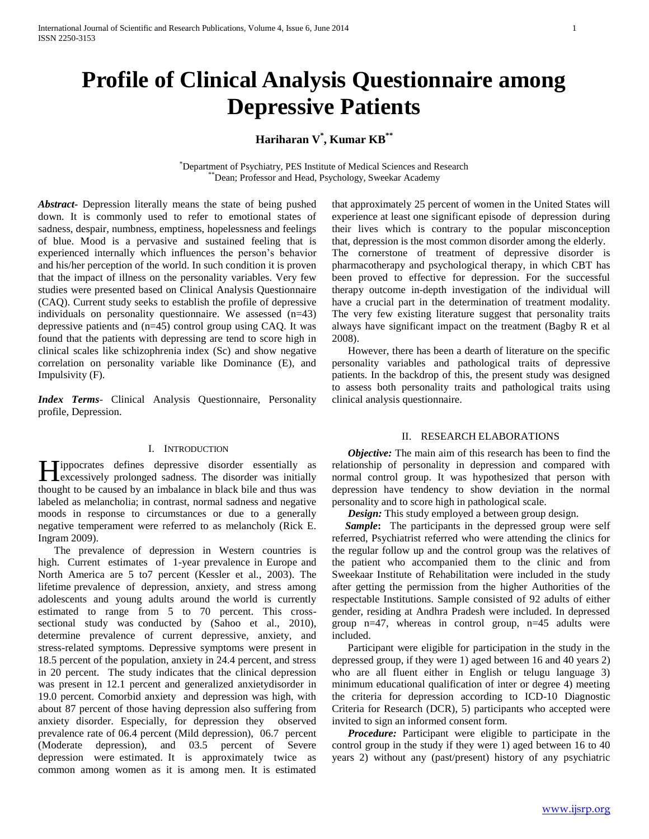# **Profile of Clinical Analysis Questionnaire among Depressive Patients**

# **Hariharan V\* , Kumar KB\*\***

\*Department of Psychiatry, PES Institute of Medical Sciences and Research \*Dean; Professor and Head, Psychology, Sweekar Academy

*Abstract***-** Depression literally means the state of being pushed down. It is commonly used to refer to emotional states of sadness, despair, numbness, emptiness, hopelessness and feelings of blue. Mood is a pervasive and sustained feeling that is experienced internally which influences the person's behavior and his/her perception of the world. In such condition it is proven that the impact of illness on the personality variables. Very few studies were presented based on Clinical Analysis Questionnaire (CAQ). Current study seeks to establish the profile of depressive individuals on personality questionnaire. We assessed (n=43) depressive patients and (n=45) control group using CAQ. It was found that the patients with depressing are tend to score high in clinical scales like schizophrenia index (Sc) and show negative correlation on personality variable like Dominance (E), and Impulsivity (F).

*Index Terms*- Clinical Analysis Questionnaire, Personality profile, Depression.

## I. INTRODUCTION

ippocrates defines depressive disorder essentially as Hippocrates defines depressive disorder essentially as excessively prolonged sadness. The disorder was initially thought to be caused by an imbalance in black bile and thus was labeled as melancholia; in contrast, normal sadness and negative moods in response to circumstances or due to a generally negative temperament were referred to as melancholy (Rick E. Ingram 2009).

 The prevalence of depression in Western countries is high. Current estimates of 1-year prevalence in Europe and North America are 5 to7 percent (Kessler et al., 2003). The lifetime prevalence of depression, anxiety, and stress among adolescents and young adults around the world is currently estimated to range from 5 to 70 percent. This crosssectional study was conducted by (Sahoo et al., 2010), determine prevalence of current depressive, anxiety, and stress-related symptoms. Depressive symptoms were present in 18.5 percent of the population, anxiety in 24.4 percent, and stress in 20 percent. The study indicates that the clinical depression was present in 12.1 percent and generalized anxietydisorder in 19.0 percent. Comorbid anxiety and depression was high, with about 87 percent of those having depression also suffering from anxiety disorder. Especially, for depression they observed prevalence rate of 06.4 percent (Mild depression), 06.7 percent (Moderate depression), and 03.5 percent of Severe depression were estimated. It is approximately twice as common among women as it is among men. It is estimated

that approximately 25 percent of women in the United States will experience at least one significant episode of depression during their lives which is contrary to the popular misconception that, depression is the most common disorder among the elderly. The cornerstone of treatment of depressive disorder is pharmacotherapy and psychological therapy, in which CBT has been proved to effective for depression. For the successful therapy outcome in-depth investigation of the individual will have a crucial part in the determination of treatment modality. The very few existing literature suggest that personality traits always have significant impact on the treatment (Bagby R et al 2008).

 However, there has been a dearth of literature on the specific personality variables and pathological traits of depressive patients. In the backdrop of this, the present study was designed to assess both personality traits and pathological traits using clinical analysis questionnaire.

# II. RESEARCH ELABORATIONS

 *Objective:* The main aim of this research has been to find the relationship of personality in depression and compared with normal control group. It was hypothesized that person with depression have tendency to show deviation in the normal personality and to score high in pathological scale.

*Design:* This study employed a between group design.

**Sample:** The participants in the depressed group were self referred, Psychiatrist referred who were attending the clinics for the regular follow up and the control group was the relatives of the patient who accompanied them to the clinic and from Sweekaar Institute of Rehabilitation were included in the study after getting the permission from the higher Authorities of the respectable Institutions. Sample consisted of 92 adults of either gender, residing at Andhra Pradesh were included. In depressed group n=47, whereas in control group, n=45 adults were included.

 Participant were eligible for participation in the study in the depressed group, if they were 1) aged between 16 and 40 years 2) who are all fluent either in English or telugu language 3) minimum educational qualification of inter or degree 4) meeting the criteria for depression according to ICD-10 Diagnostic Criteria for Research (DCR), 5) participants who accepted were invited to sign an informed consent form.

 *Procedure:* Participant were eligible to participate in the control group in the study if they were 1) aged between 16 to 40 years 2) without any (past/present) history of any psychiatric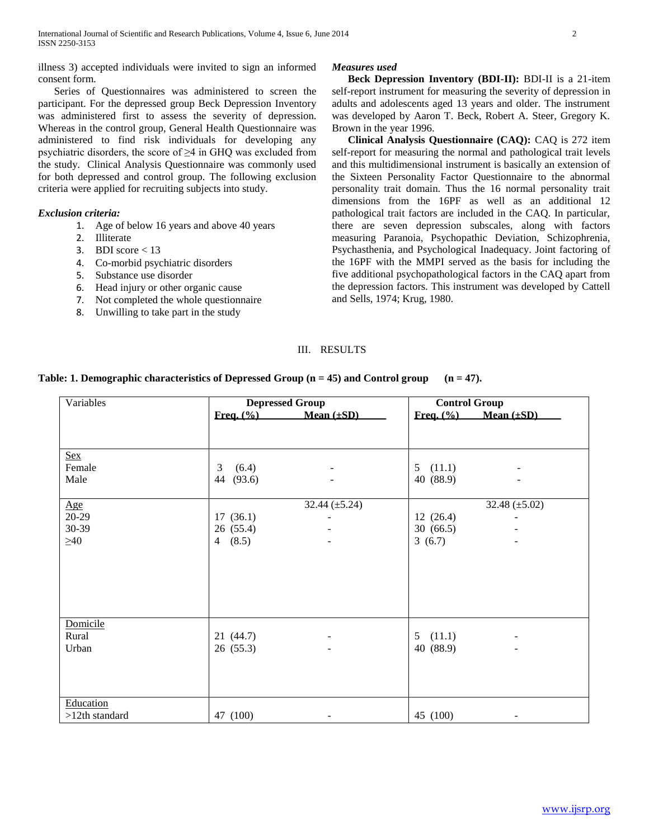illness 3) accepted individuals were invited to sign an informed consent form.

 Series of Questionnaires was administered to screen the participant. For the depressed group Beck Depression Inventory was administered first to assess the severity of depression. Whereas in the control group, General Health Questionnaire was administered to find risk individuals for developing any psychiatric disorders, the score of ≥4 in GHQ was excluded from the study. Clinical Analysis Questionnaire was commonly used for both depressed and control group. The following exclusion criteria were applied for recruiting subjects into study.

# *Exclusion criteria:*

- 1. Age of below 16 years and above 40 years
- 2. Illiterate
- 3. BDI score  $<$  13
- 4. Co-morbid psychiatric disorders
- 5. Substance use disorder
- 6. Head injury or other organic cause
- 7. Not completed the whole questionnaire
- 8. Unwilling to take part in the study

## *Measures used*

 **Beck Depression Inventory (BDI-II):** BDI-II is a 21-item self-report instrument for measuring the severity of depression in adults and adolescents aged 13 years and older. The instrument was developed by Aaron T. Beck, Robert A. Steer, Gregory K. Brown in the year 1996.

 **Clinical Analysis Questionnaire (CAQ):** CAQ is 272 item self-report for measuring the normal and pathological trait levels and this multidimensional instrument is basically an extension of the Sixteen Personality Factor Questionnaire to the abnormal personality trait domain. Thus the 16 normal personality trait dimensions from the 16PF as well as an additional 12 pathological trait factors are included in the CAQ. In particular, there are seven depression subscales, along with factors measuring Paranoia, Psychopathic Deviation, Schizophrenia, Psychasthenia, and Psychological Inadequacy. Joint factoring of the 16PF with the MMPI served as the basis for including the five additional psychopathological factors in the CAQ apart from the depression factors. This instrument was developed by Cattell and Sells, 1974; Krug, 1980.

# III. RESULTS

| Table: 1. Demographic characteristics of Depressed Group $(n = 45)$ and Control group $(n = 47)$ . |  |  |  |  |  |  |  |  |  |  |
|----------------------------------------------------------------------------------------------------|--|--|--|--|--|--|--|--|--|--|
|----------------------------------------------------------------------------------------------------|--|--|--|--|--|--|--|--|--|--|

| Variables        | <b>Depressed Group</b> |                          | <b>Control Group</b> |                               |
|------------------|------------------------|--------------------------|----------------------|-------------------------------|
|                  | Freq. (%)              | Mean $(\pm SD)$          |                      | Freq. $(\% )$ Mean $(\pm SD)$ |
|                  |                        |                          |                      |                               |
| <b>Sex</b>       |                        |                          |                      |                               |
| Female           | 3<br>(6.4)             |                          | 5(11.1)              |                               |
| Male             | 44<br>(93.6)           | $\overline{\phantom{0}}$ | 40 (88.9)            |                               |
| Age              |                        | 32.44 $(\pm 5.24)$       |                      | 32.48 $(\pm 5.02)$            |
| $20-29$          | 17(36.1)               |                          | 12(26.4)             |                               |
| 30-39            | 26 (55.4)              |                          | 30(66.5)             |                               |
| $\geq 40$        | 4 $(8.5)$              | $\blacksquare$           | 3(6.7)               |                               |
|                  |                        |                          |                      |                               |
|                  |                        |                          |                      |                               |
|                  |                        |                          |                      |                               |
|                  |                        |                          |                      |                               |
|                  |                        |                          |                      |                               |
| Domicile         |                        |                          |                      |                               |
| Rural            | 21 (44.7)              |                          | (11.1)<br>5          |                               |
| Urban            | 26(55.3)               | $\blacksquare$           | 40 (88.9)            |                               |
|                  |                        |                          |                      |                               |
|                  |                        |                          |                      |                               |
|                  |                        |                          |                      |                               |
| Education        |                        |                          |                      |                               |
| $>12th$ standard | 47 (100)               |                          | 45 (100)             |                               |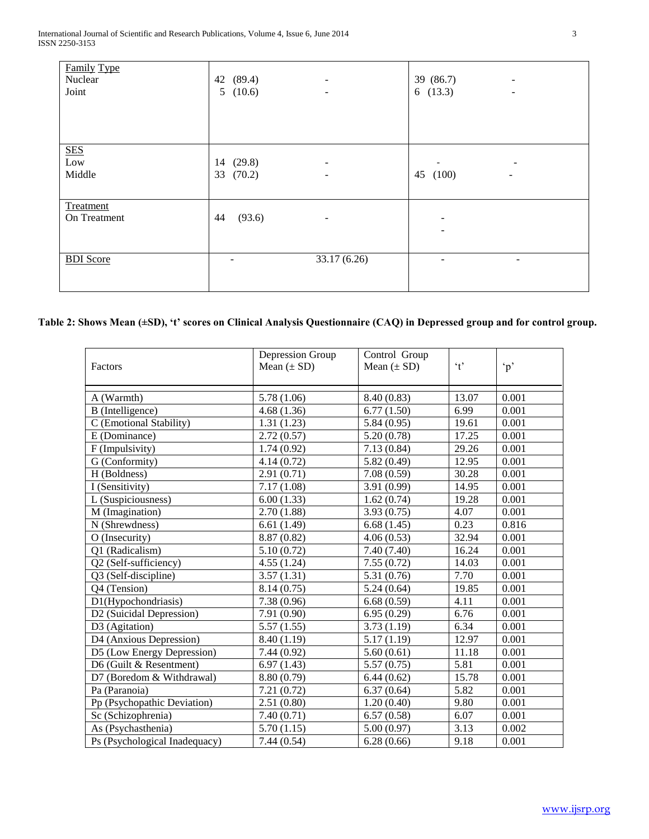| <b>Family Type</b><br>Nuclear<br>Joint | 42 (89.4)<br>5(10.6)         | $\overline{\phantom{a}}$<br>$\overline{\phantom{a}}$ | 39 (86.7)<br>$\overline{\phantom{a}}$<br>6(13.3)<br>$\overline{\phantom{a}}$ |  |
|----------------------------------------|------------------------------|------------------------------------------------------|------------------------------------------------------------------------------|--|
|                                        |                              |                                                      |                                                                              |  |
| <b>SES</b><br>Low<br>Middle            | (29.8)<br>14<br>(70.2)<br>33 | $\overline{\phantom{a}}$<br>$\overline{\phantom{a}}$ | (100)<br>45<br>$\overline{\phantom{a}}$                                      |  |
| Treatment<br>On Treatment              | 44<br>(93.6)                 | -                                                    | ۰                                                                            |  |
| <b>BDI</b> Score                       | -                            | 33.17(6.26)                                          | ۰<br>$\overline{\phantom{a}}$                                                |  |

# **Table 2: Shows Mean (±SD), 't' scores on Clinical Analysis Questionnaire (CAQ) in Depressed group and for control group.**

| Factors                       | Depression Group<br>Mean $(\pm SD)$ | Control Group<br>Mean $(\pm SD)$ | $\mathbf{f}$ | $\Delta$ |
|-------------------------------|-------------------------------------|----------------------------------|--------------|----------|
|                               |                                     |                                  |              |          |
| A (Warmth)                    | 5.78 (1.06)                         | 8.40 (0.83)                      | 13.07        | 0.001    |
| B (Intelligence)              | 4.68(1.36)                          | 6.77(1.50)                       | 6.99         | 0.001    |
| (Emotional Stability)         | 1.31(1.23)                          | 5.84(0.95)                       | 19.61        | 0.001    |
| E (Dominance)                 | 2.72(0.57)                          | 5.20(0.78)                       | 17.25        | 0.001    |
| F (Impulsivity)               | 1.74(0.92)                          | 7.13(0.84)                       | 29.26        | 0.001    |
| G (Conformity)                | 4.14(0.72)                          | 5.82(0.49)                       | 12.95        | 0.001    |
| H (Boldness)                  | 2.91(0.71)                          | 7.08(0.59)                       | 30.28        | 0.001    |
| I (Sensitivity)               | 7.17(1.08)                          | 3.91 (0.99)                      | 14.95        | 0.001    |
| L (Suspiciousness)            | 6.00(1.33)                          | 1.62(0.74)                       | 19.28        | 0.001    |
| M (Imagination)               | 2.70(1.88)                          | 3.93(0.75)                       | 4.07         | 0.001    |
| N (Shrewdness)                | 6.61(1.49)                          | 6.68(1.45)                       | 0.23         | 0.816    |
| O (Insecurity)                | 8.87 (0.82)                         | 4.06(0.53)                       | 32.94        | 0.001    |
| Q1 (Radicalism)               | 5.10(0.72)                          | 7.40(7.40)                       | 16.24        | 0.001    |
| Q2 (Self-sufficiency)         | 4.55(1.24)                          | 7.55(0.72)                       | 14.03        | 0.001    |
| Q3 (Self-discipline)          | 3.57(1.31)                          | 5.31 (0.76)                      | 7.70         | 0.001    |
| Q4 (Tension)                  | 8.14(0.75)                          | 5.24(0.64)                       | 19.85        | 0.001    |
| D1(Hypochondriasis)           | 7.38(0.96)                          | 6.68(0.59)                       | 4.11         | 0.001    |
| D2 (Suicidal Depression)      | 7.91 (0.90)                         | 6.95(0.29)                       | 6.76         | 0.001    |
| D3 (Agitation)                | 5.57(1.55)                          | 3.73(1.19)                       | 6.34         | 0.001    |
| D4 (Anxious Depression)       | 8.40 (1.19)                         | 5.17(1.19)                       | 12.97        | 0.001    |
| D5 (Low Energy Depression)    | 7.44(0.92)                          | 5.60(0.61)                       | 11.18        | 0.001    |
| D6 (Guilt & Resentment)       | 6.97(1.43)                          | 5.57(0.75)                       | 5.81         | 0.001    |
| D7 (Boredom & Withdrawal)     | 8.80 (0.79)                         | 6.44(0.62)                       | 15.78        | 0.001    |
| Pa (Paranoia)                 | 7.21(0.72)                          | 6.37(0.64)                       | 5.82         | 0.001    |
| Pp (Psychopathic Deviation)   | 2.51(0.80)                          | 1.20(0.40)                       | 9.80         | 0.001    |
| Sc (Schizophrenia)            | 7.40(0.71)                          | 6.57(0.58)                       | 6.07         | 0.001    |
| As (Psychasthenia)            | 5.70(1.15)                          | 5.00(0.97)                       | 3.13         | 0.002    |
| Ps (Psychological Inadequacy) | 7.44(0.54)                          | 6.28(0.66)                       | 9.18         | 0.001    |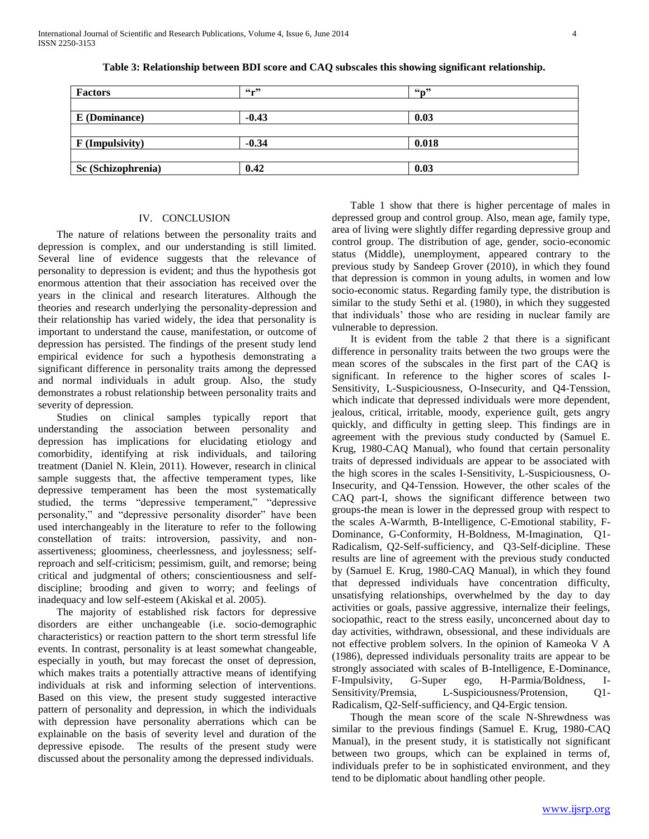| <b>Factors</b>     | $66 - 33$ | $66 - 22$ |  |
|--------------------|-----------|-----------|--|
|                    |           |           |  |
| E (Dominance)      | $-0.43$   | 0.03      |  |
|                    |           |           |  |
| F (Impulsivity)    | $-0.34$   | 0.018     |  |
|                    |           |           |  |
| Sc (Schizophrenia) | 0.42      | 0.03      |  |

**Table 3: Relationship between BDI score and CAQ subscales this showing significant relationship.**

### IV. CONCLUSION

 The nature of relations between the personality traits and depression is complex, and our understanding is still limited. Several line of evidence suggests that the relevance of personality to depression is evident; and thus the hypothesis got enormous attention that their association has received over the years in the clinical and research literatures. Although the theories and research underlying the personality-depression and their relationship has varied widely, the idea that personality is important to understand the cause, manifestation, or outcome of depression has persisted. The findings of the present study lend empirical evidence for such a hypothesis demonstrating a significant difference in personality traits among the depressed and normal individuals in adult group. Also, the study demonstrates a robust relationship between personality traits and severity of depression.

 Studies on clinical samples typically report that understanding the association between personality and depression has implications for elucidating etiology and comorbidity, identifying at risk individuals, and tailoring treatment (Daniel N. Klein, 2011). However, research in clinical sample suggests that, the affective temperament types, like depressive temperament has been the most systematically studied, the terms "depressive temperament," "depressive personality," and "depressive personality disorder" have been used interchangeably in the literature to refer to the following constellation of traits: introversion, passivity, and nonassertiveness; gloominess, cheerlessness, and joylessness; selfreproach and self-criticism; pessimism, guilt, and remorse; being critical and judgmental of others; conscientiousness and selfdiscipline; brooding and given to worry; and feelings of inadequacy and low self-esteem (Akiskal et al. 2005).

 The majority of established risk factors for depressive disorders are either unchangeable (i.e. socio-demographic characteristics) or reaction pattern to the short term stressful life events. In contrast, personality is at least somewhat changeable, especially in youth, but may forecast the onset of depression, which makes traits a potentially attractive means of identifying individuals at risk and informing selection of interventions. Based on this view, the present study suggested interactive pattern of personality and depression, in which the individuals with depression have personality aberrations which can be explainable on the basis of severity level and duration of the depressive episode. The results of the present study were discussed about the personality among the depressed individuals.

 Table 1 show that there is higher percentage of males in depressed group and control group. Also, mean age, family type, area of living were slightly differ regarding depressive group and control group. The distribution of age, gender, socio-economic status (Middle), unemployment, appeared contrary to the previous study by Sandeep Grover (2010), in which they found that depression is common in young adults, in women and low socio-economic status. Regarding family type, the distribution is similar to the study Sethi et al. (1980), in which they suggested that individuals' those who are residing in nuclear family are vulnerable to depression.

 It is evident from the table 2 that there is a significant difference in personality traits between the two groups were the mean scores of the subscales in the first part of the CAQ is significant. In reference to the higher scores of scales I-Sensitivity, L-Suspiciousness, O-Insecurity, and Q4-Tenssion, which indicate that depressed individuals were more dependent, jealous, critical, irritable, moody, experience guilt, gets angry quickly, and difficulty in getting sleep. This findings are in agreement with the previous study conducted by (Samuel E. Krug, 1980-CAQ Manual), who found that certain personality traits of depressed individuals are appear to be associated with the high scores in the scales I-Sensitivity, L-Suspiciousness, O-Insecurity, and Q4-Tenssion. However, the other scales of the CAQ part-I, shows the significant difference between two groups-the mean is lower in the depressed group with respect to the scales A-Warmth, B-Intelligence, C-Emotional stability, F-Dominance, G-Conformity, H-Boldness, M-Imagination, Q1- Radicalism, Q2-Self-sufficiency, and Q3-Self-dicipline. These results are line of agreement with the previous study conducted by (Samuel E. Krug, 1980-CAQ Manual), in which they found that depressed individuals have concentration difficulty, unsatisfying relationships, overwhelmed by the day to day activities or goals, passive aggressive, internalize their feelings, sociopathic, react to the stress easily, unconcerned about day to day activities, withdrawn, obsessional, and these individuals are not effective problem solvers. In the opinion of Kameoka V A (1986), depressed individuals personality traits are appear to be strongly associated with scales of B-Intelligence, E-Dominance, F-Impulsivity, G-Super ego, H-Parmia/Boldness, I-Sensitivity/Premsia, L-Suspiciousness/Protension, Q1- Radicalism, Q2-Self-sufficiency, and Q4-Ergic tension.

 Though the mean score of the scale N-Shrewdness was similar to the previous findings (Samuel E. Krug, 1980-CAQ Manual), in the present study, it is statistically not significant between two groups, which can be explained in terms of, individuals prefer to be in sophisticated environment, and they tend to be diplomatic about handling other people.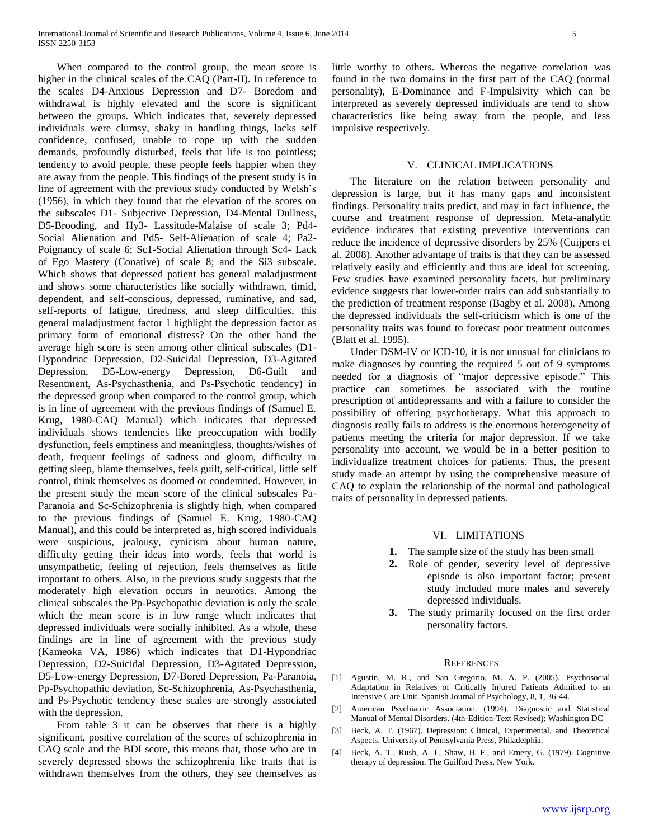When compared to the control group, the mean score is higher in the clinical scales of the CAQ (Part-II). In reference to the scales D4-Anxious Depression and D7- Boredom and withdrawal is highly elevated and the score is significant between the groups. Which indicates that, severely depressed individuals were clumsy, shaky in handling things, lacks self confidence, confused, unable to cope up with the sudden demands, profoundly disturbed, feels that life is too pointless; tendency to avoid people, these people feels happier when they are away from the people. This findings of the present study is in line of agreement with the previous study conducted by Welsh's (1956), in which they found that the elevation of the scores on the subscales D1- Subjective Depression, D4-Mental Dullness, D5-Brooding, and Hy3- Lassitude-Malaise of scale 3; Pd4- Social Alienation and Pd5- Self-Alienation of scale 4; Pa2- Poignancy of scale 6; Sc1-Social Alienation through Sc4- Lack of Ego Mastery (Conative) of scale 8; and the Si3 subscale. Which shows that depressed patient has general maladjustment and shows some characteristics like socially withdrawn, timid, dependent, and self-conscious, depressed, ruminative, and sad, self-reports of fatigue, tiredness, and sleep difficulties, this general maladjustment factor 1 highlight the depression factor as primary form of emotional distress? On the other hand the average high score is seen among other clinical subscales (D1- Hypondriac Depression, D2-Suicidal Depression, D3-Agitated Depression, D5-Low-energy Depression, D6-Guilt and Resentment, As-Psychasthenia, and Ps-Psychotic tendency) in the depressed group when compared to the control group, which is in line of agreement with the previous findings of (Samuel E. Krug, 1980-CAQ Manual) which indicates that depressed individuals shows tendencies like preoccupation with bodily dysfunction, feels emptiness and meaningless, thoughts/wishes of death, frequent feelings of sadness and gloom, difficulty in getting sleep, blame themselves, feels guilt, self-critical, little self control, think themselves as doomed or condemned. However, in the present study the mean score of the clinical subscales Pa-Paranoia and Sc-Schizophrenia is slightly high, when compared to the previous findings of (Samuel E. Krug, 1980-CAQ Manual), and this could be interpreted as, high scored individuals were suspicious, jealousy, cynicism about human nature, difficulty getting their ideas into words, feels that world is unsympathetic, feeling of rejection, feels themselves as little important to others. Also, in the previous study suggests that the moderately high elevation occurs in neurotics. Among the clinical subscales the Pp-Psychopathic deviation is only the scale which the mean score is in low range which indicates that depressed individuals were socially inhibited. As a whole, these findings are in line of agreement with the previous study (Kameoka VA, 1986) which indicates that D1-Hypondriac Depression, D2-Suicidal Depression, D3-Agitated Depression, D5-Low-energy Depression, D7-Bored Depression, Pa-Paranoia, Pp-Psychopathic deviation, Sc-Schizophrenia, As-Psychasthenia, and Ps-Psychotic tendency these scales are strongly associated with the depression.

 From table 3 it can be observes that there is a highly significant, positive correlation of the scores of schizophrenia in CAQ scale and the BDI score, this means that, those who are in severely depressed shows the schizophrenia like traits that is withdrawn themselves from the others, they see themselves as

little worthy to others. Whereas the negative correlation was found in the two domains in the first part of the CAQ (normal personality), E-Dominance and F-Impulsivity which can be interpreted as severely depressed individuals are tend to show characteristics like being away from the people, and less impulsive respectively.

### V. CLINICAL IMPLICATIONS

 The literature on the relation between personality and depression is large, but it has many gaps and inconsistent findings. Personality traits predict, and may in fact influence, the course and treatment response of depression. Meta-analytic evidence indicates that existing preventive interventions can reduce the incidence of depressive disorders by 25% (Cuijpers et al. 2008). Another advantage of traits is that they can be assessed relatively easily and efficiently and thus are ideal for screening. Few studies have examined personality facets, but preliminary evidence suggests that lower-order traits can add substantially to the prediction of treatment response (Bagby et al. 2008). Among the depressed individuals the self-criticism which is one of the personality traits was found to forecast poor treatment outcomes (Blatt et al. 1995).

 Under DSM-IV or ICD-10, it is not unusual for clinicians to make diagnoses by counting the required 5 out of 9 symptoms needed for a diagnosis of "major depressive episode." This practice can sometimes be associated with the routine prescription of antidepressants and with a failure to consider the possibility of offering psychotherapy. What this approach to diagnosis really fails to address is the enormous heterogeneity of patients meeting the criteria for major depression. If we take personality into account, we would be in a better position to individualize treatment choices for patients. Thus, the present study made an attempt by using the comprehensive measure of CAQ to explain the relationship of the normal and pathological traits of personality in depressed patients.

# VI. LIMITATIONS

- **1.** The sample size of the study has been small
- **2.** Role of gender, severity level of depressive episode is also important factor; present study included more males and severely depressed individuals.
- **3.** The study primarily focused on the first order personality factors.

#### **REFERENCES**

- [1] Agustin, M. R., and San Gregorio, M. A. P. (2005). Psychosocial Adaptation in Relatives of Critically Injured Patients Admitted to an Intensive Care Unit. Spanish Journal of Psychology, 8, 1, 36-44.
- [2] American Psychiatric Association. (1994). Diagnostic and Statistical Manual of Mental Disorders. (4th-Edition-Text Revised): Washington DC
- [3] Beck, A. T. (1967). Depression: Clinical, Experimental, and Theoretical Aspects. University of Pennsylvania Press, Philadelphia.
- [4] Beck, A. T., Rush, A. J., Shaw, B. F., and Emery, G. (1979). Cognitive therapy of depression. The Guilford Press, New York.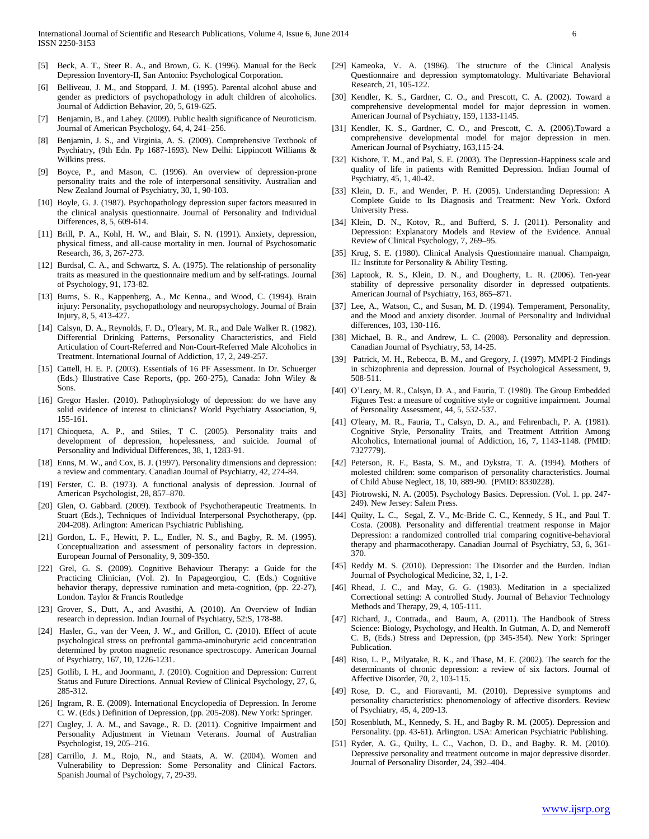- [5] Beck, A. T., Steer R. A., and Brown, G. K. (1996). Manual for the Beck Depression Inventory-II, San Antonio: Psychological Corporation.
- [6] Belliveau, J. M., and Stoppard, J. M. (1995). Parental alcohol abuse and gender as predictors of psychopathology in adult children of alcoholics. Journal of Addiction Behavior, 20, 5, 619-625.
- [7] Benjamin, B., and Lahey. (2009). Public health significance of Neuroticism. Journal of American Psychology, 64, 4, 241–256.
- [8] Benjamin, J. S., and Virginia, A. S. (2009). Comprehensive Textbook of Psychiatry, (9th Edn. Pp 1687-1693). New Delhi: Lippincott Williams & Wilkins press.
- [9] Boyce, P., and Mason, C. (1996). An overview of depression-prone personality traits and the role of interpersonal sensitivity. Australian and New Zealand Journal of Psychiatry, 30, 1, 90-103.
- [10] Boyle, G. J. (1987). Psychopathology depression super factors measured in the clinical analysis questionnaire. Journal of Personality and Individual Differences, 8, 5, 609-614.
- [11] Brill, P. A., Kohl, H. W., and Blair, S. N. (1991). Anxiety, depression, physical fitness, and all-cause mortality in men. Journal of Psychosomatic Research, 36, 3, 267-273.
- [12] Burdsal, C. A., and Schwartz, S. A. (1975). The relationship of personality traits as measured in the questionnaire medium and by self-ratings. Journal of Psychology, 91, 173-82.
- [13] Burns, S. R., Kappenberg, A., Mc Kenna., and Wood, C. (1994). Brain injury: Personality, psychopathology and neuropsychology. Journal of Brain Injury, 8, 5, 413-427.
- [14] Calsyn, D. A., Reynolds, F. D., O'leary, M. R., and Dale Walker R. (1982). Differential Drinking Patterns, Personality Characteristics, and Field Articulation of Court-Referred and Non-Court-Referred Male Alcoholics in Treatment. International Journal of Addiction, 17, 2, 249-257.
- [15] Cattell, H. E. P. (2003). Essentials of 16 PF Assessment. In Dr. Schuerger (Eds.) Illustrative Case Reports, (pp. 260-275), Canada: John Wiley & Sons.
- [16] Gregor Hasler. (2010). Pathophysiology of depression: do we have any solid evidence of interest to clinicians? World Psychiatry Association, 9, 155-161.
- [17] Chioqueta, A. P., and Stiles, T C. (2005). Personality traits and development of depression, hopelessness, and suicide. Journal of Personality and Individual Differences, 38, 1, 1283-91.
- [18] Enns, M. W., and Cox, B. J. (1997). Personality dimensions and depression: a review and commentary. Canadian Journal of Psychiatry, 42, 274-84.
- [19] Ferster, C. B. (1973). A functional analysis of depression. Journal of American Psychologist, 28, 857–870.
- [20] Glen, O. Gabbard. (2009). Textbook of Psychotherapeutic Treatments. In Stuart (Eds.), Techniques of Individual Interpersonal Psychotherapy, (pp. 204-208). Arlington: American Psychiatric Publishing.
- [21] Gordon, L. F., Hewitt, P. L., Endler, N. S., and Bagby, R. M. (1995). Conceptualization and assessment of personality factors in depression. European Journal of Personality, 9, 309-350.
- [22] Grel, G. S. (2009). Cognitive Behaviour Therapy: a Guide for the Practicing Clinician, (Vol. 2). In Papageorgiou, C. (Eds.) Cognitive behavior therapy, depressive rumination and meta-cognition, (pp. 22-27), London. Taylor & Francis Routledge
- [23] Grover, S., Dutt, A., and Avasthi, A. (2010). An Overview of Indian research in depression. Indian Journal of Psychiatry, 52:S, 178-88.
- [24] Hasler, G., van der Veen, J. W., and Grillon, C. (2010). Effect of acute psychological stress on prefrontal gamma-aminobutyric acid concentration determined by proton magnetic resonance spectroscopy. American Journal of Psychiatry, 167, 10, 1226-1231.
- [25] Gotlib, I. H., and Joormann, J. (2010). Cognition and Depression: Current Status and Future Directions. Annual Review of Clinical Psychology, 27, 6, 285-312.
- [26] Ingram, R. E. (2009). International Encyclopedia of Depression. In Jerome C. W. (Eds.) Definition of Depression, (pp. 205-208). New York: Springer.
- [27] Cugley, J. A. M., and Savage., R. D. (2011). Cognitive Impairment and Personality Adjustment in Vietnam Veterans. Journal of Australian Psychologist, 19, 205–216.
- [28] Carrillo, J. M., Rojo, N., and Staats, A. W. (2004). Women and Vulnerability to Depression: Some Personality and Clinical Factors. Spanish Journal of Psychology, 7, 29-39.
- [29] Kameoka, V. A. (1986). The structure of the Clinical Analysis Questionnaire and depression symptomatology. Multivariate Behavioral Research, 21, 105-122.
- [30] Kendler, K. S., Gardner, C. O., and Prescott, C. A. (2002). Toward a comprehensive developmental model for major depression in women. American Journal of Psychiatry, 159, 1133-1145.
- [31] Kendler, K. S., Gardner, C. O., and Prescott, C. A. (2006).Toward a comprehensive developmental model for major depression in men. American Journal of Psychiatry, 163,115-24.
- [32] Kishore, T. M., and Pal, S. E. (2003). The Depression-Happiness scale and quality of life in patients with Remitted Depression. Indian Journal of Psychiatry, 45, 1, 40-42.
- [33] Klein, D. F., and Wender, P. H. (2005). Understanding Depression: A Complete Guide to Its Diagnosis and Treatment: New York. Oxford University Press.
- [34] Klein, D. N., Kotov, R., and Bufferd, S. J. (2011). Personality and Depression: Explanatory Models and Review of the Evidence. Annual Review of Clinical Psychology, 7, 269–95.
- [35] Krug, S. E. (1980). Clinical Analysis Questionnaire manual. Champaign, IL: Institute for Personality & Ability Testing.
- [36] Laptook, R. S., Klein, D. N., and Dougherty, L. R. (2006). Ten-year stability of depressive personality disorder in depressed outpatients. American Journal of Psychiatry, 163, 865–871.
- [37] Lee, A., Watson, C., and Susan, M. D. (1994). Temperament, Personality, and the Mood and anxiety disorder. Journal of Personality and Individual differences, 103, 130-116.
- [38] Michael, B. R., and Andrew, L. C. (2008). Personality and depression. Canadian Journal of Psychiatry, 53, 14-25.
- [39] Patrick, M. H., Rebecca, B. M., and Gregory, J. (1997). MMPI-2 Findings in schizophrenia and depression. Journal of Psychological Assessment, 9, 508-511.
- [40] O'Leary, M. R., Calsyn, D. A., and Fauria, T. (1980). The Group Embedded Figures Test: a measure of cognitive style or cognitive impairment. Journal of Personality Assessment, 44, 5, 532-537.
- [41] O'leary, M. R., Fauria, T., Calsyn, D. A., and Fehrenbach, P. A. (1981). Cognitive Style, Personality Traits, and Treatment Attrition Among Alcoholics, International journal of Addiction, 16, 7, 1143-1148. (PMID: 7327779).
- [42] Peterson, R. F., Basta, S. M., and Dykstra, T. A. (1994). Mothers of molested children: some comparison of personality characteristics. Journal of Child Abuse Neglect, 18, 10, 889-90. (PMID: 8330228).
- [43] Piotrowski, N. A. (2005). Psychology Basics. Depression. (Vol. 1. pp. 247- 249). New Jersey: Salem Press.
- [44] Quilty, L. C., Segal, Z. V., Mc-Bride C. C., Kennedy, S H., and Paul T. Costa. (2008). Personality and differential treatment response in Major Depression: a randomized controlled trial comparing cognitive-behavioral therapy and pharmacotherapy. Canadian Journal of Psychiatry, 53, 6, 361- 370.
- [45] Reddy M. S. (2010). Depression: The Disorder and the Burden. Indian Journal of Psychological Medicine, 32, 1, 1-2.
- [46] Rhead, J. C., and May, G. G. (1983). Meditation in a specialized Correctional setting: A controlled Study. Journal of Behavior Technology Methods and Therapy, 29, 4, 105-111.
- [47] Richard, J., Contrada., and Baum, A. (2011). The Handbook of Stress Science: Biology, Psychology, and Health. In Gutman, A. D, and Nemeroff C. B, (Eds.) Stress and Depression, (pp 345-354). New York: Springer Publication.
- [48] Riso, L. P., Milyatake, R. K., and Thase, M. E. (2002). The search for the determinants of chronic depression: a review of six factors. Journal of Affective Disorder, 70, 2, 103-115.
- [49] Rose, D. C., and Fioravanti, M. (2010). Depressive symptoms and personality characteristics: phenomenology of affective disorders. Review of Psychiatry, 45, 4, 209-13.
- [50] Rosenbluth, M., Kennedy, S. H., and Bagby R. M. (2005). Depression and Personality. (pp. 43-61). Arlington. USA: American Psychiatric Publishing.
- [51] Ryder, A. G., Quilty, L. C., Vachon, D. D., and Bagby. R. M. (2010). Depressive personality and treatment outcome in major depressive disorder. Journal of Personality Disorder, 24, 392–404.